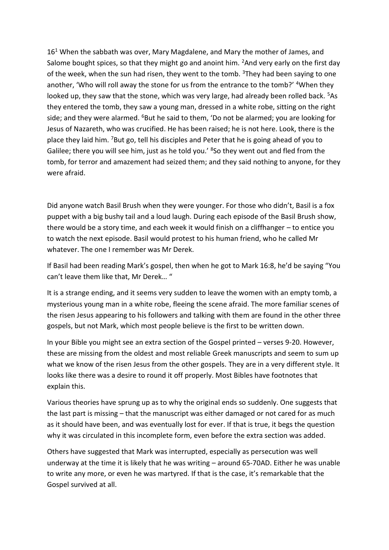$16<sup>1</sup>$  When the sabbath was over, Mary Magdalene, and Mary the mother of James, and Salome bought spices, so that they might go and anoint him. <sup>2</sup>And very early on the first day of the week, when the sun had risen, they went to the tomb.  $3$ They had been saying to one another, 'Who will roll away the stone for us from the entrance to the tomb?' <sup>4</sup>When they looked up, they saw that the stone, which was very large, had already been rolled back. <sup>5</sup>As they entered the tomb, they saw a young man, dressed in a white robe, sitting on the right side; and they were alarmed. <sup>6</sup>But he said to them, 'Do not be alarmed; you are looking for Jesus of Nazareth, who was crucified. He has been raised; he is not here. Look, there is the place they laid him. <sup>7</sup>But go, tell his disciples and Peter that he is going ahead of you to Galilee; there you will see him, just as he told you.' <sup>8</sup>So they went out and fled from the tomb, for terror and amazement had seized them; and they said nothing to anyone, for they were afraid.

Did anyone watch Basil Brush when they were younger. For those who didn't, Basil is a fox puppet with a big bushy tail and a loud laugh. During each episode of the Basil Brush show, there would be a story time, and each week it would finish on a cliffhanger – to entice you to watch the next episode. Basil would protest to his human friend, who he called Mr whatever. The one I remember was Mr Derek.

If Basil had been reading Mark's gospel, then when he got to Mark 16:8, he'd be saying "You can't leave them like that, Mr Derek… "

It is a strange ending, and it seems very sudden to leave the women with an empty tomb, a mysterious young man in a white robe, fleeing the scene afraid. The more familiar scenes of the risen Jesus appearing to his followers and talking with them are found in the other three gospels, but not Mark, which most people believe is the first to be written down.

In your Bible you might see an extra section of the Gospel printed – verses 9-20. However, these are missing from the oldest and most reliable Greek manuscripts and seem to sum up what we know of the risen Jesus from the other gospels. They are in a very different style. It looks like there was a desire to round it off properly. Most Bibles have footnotes that explain this.

Various theories have sprung up as to why the original ends so suddenly. One suggests that the last part is missing – that the manuscript was either damaged or not cared for as much as it should have been, and was eventually lost for ever. If that is true, it begs the question why it was circulated in this incomplete form, even before the extra section was added.

Others have suggested that Mark was interrupted, especially as persecution was well underway at the time it is likely that he was writing – around 65-70AD. Either he was unable to write any more, or even he was martyred. If that is the case, it's remarkable that the Gospel survived at all.